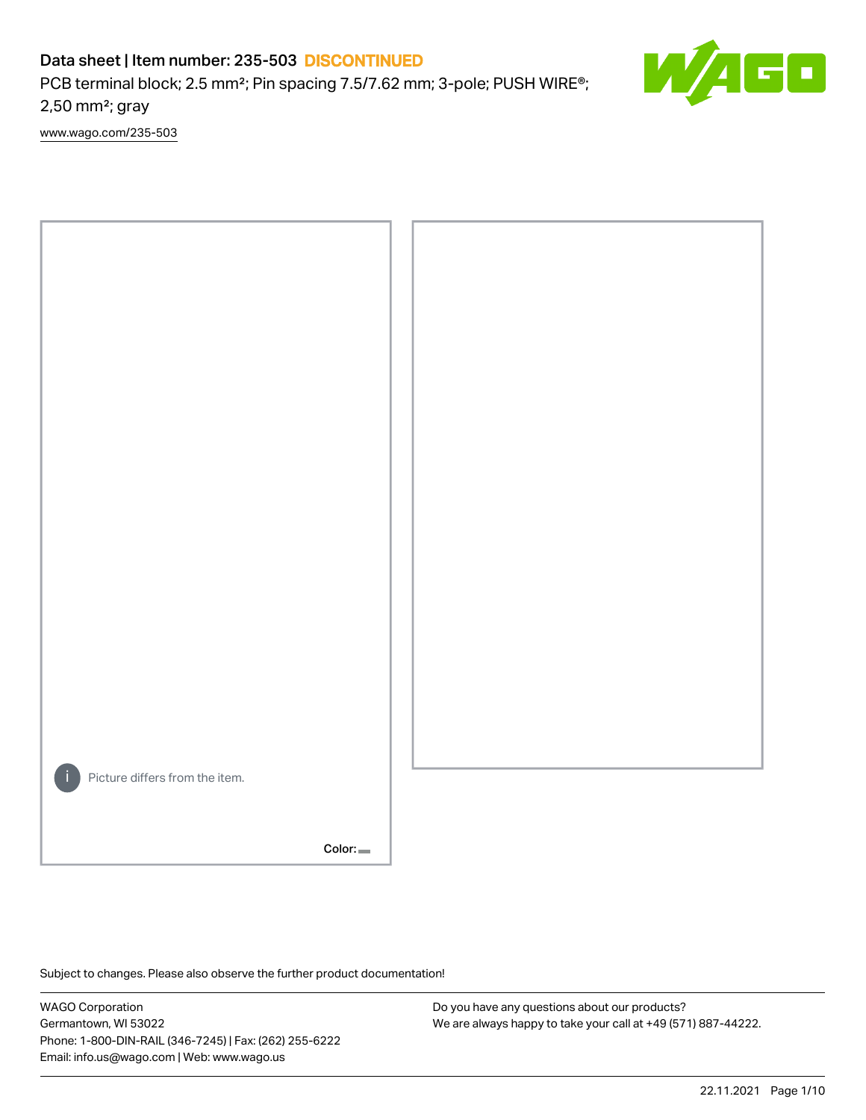PCB terminal block; 2.5 mm<sup>2</sup>; Pin spacing 7.5/7.62 mm; 3-pole; PUSH WIRE<sup>®</sup>; 2,50 mm²; gray

[www.wago.com/235-503](http://www.wago.com/235-503)



Color:

Subject to changes. Please also observe the further product documentation!

WAGO Corporation Germantown, WI 53022 Phone: 1-800-DIN-RAIL (346-7245) | Fax: (262) 255-6222 Email: info.us@wago.com | Web: www.wago.us

Do you have any questions about our products? We are always happy to take your call at +49 (571) 887-44222.

50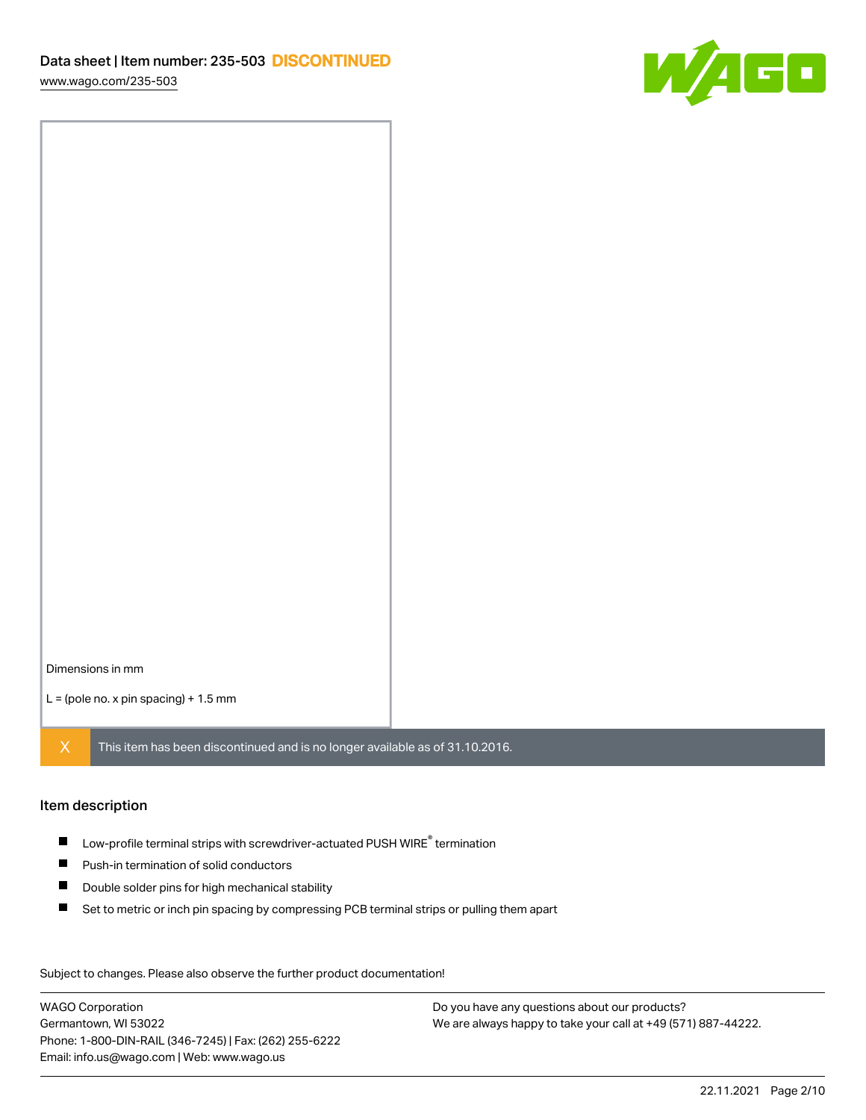

Dimensions in mm

 $L =$  (pole no. x pin spacing) + 1.5 mm

 $X$  This item has been discontinued and is no longer available as of 31.10.2016.

#### Item description

- $\blacksquare$  Low-profile terminal strips with screwdriver-actuated PUSH WIRE<sup>®</sup> termination
- **Push-in termination of solid conductors**
- $\blacksquare$ Double solder pins for high mechanical stability
- $\blacksquare$ Set to metric or inch pin spacing by compressing PCB terminal strips or pulling them apart

Subject to changes. Please also observe the further product documentation! Data

WAGO Corporation Germantown, WI 53022 Phone: 1-800-DIN-RAIL (346-7245) | Fax: (262) 255-6222 Email: info.us@wago.com | Web: www.wago.us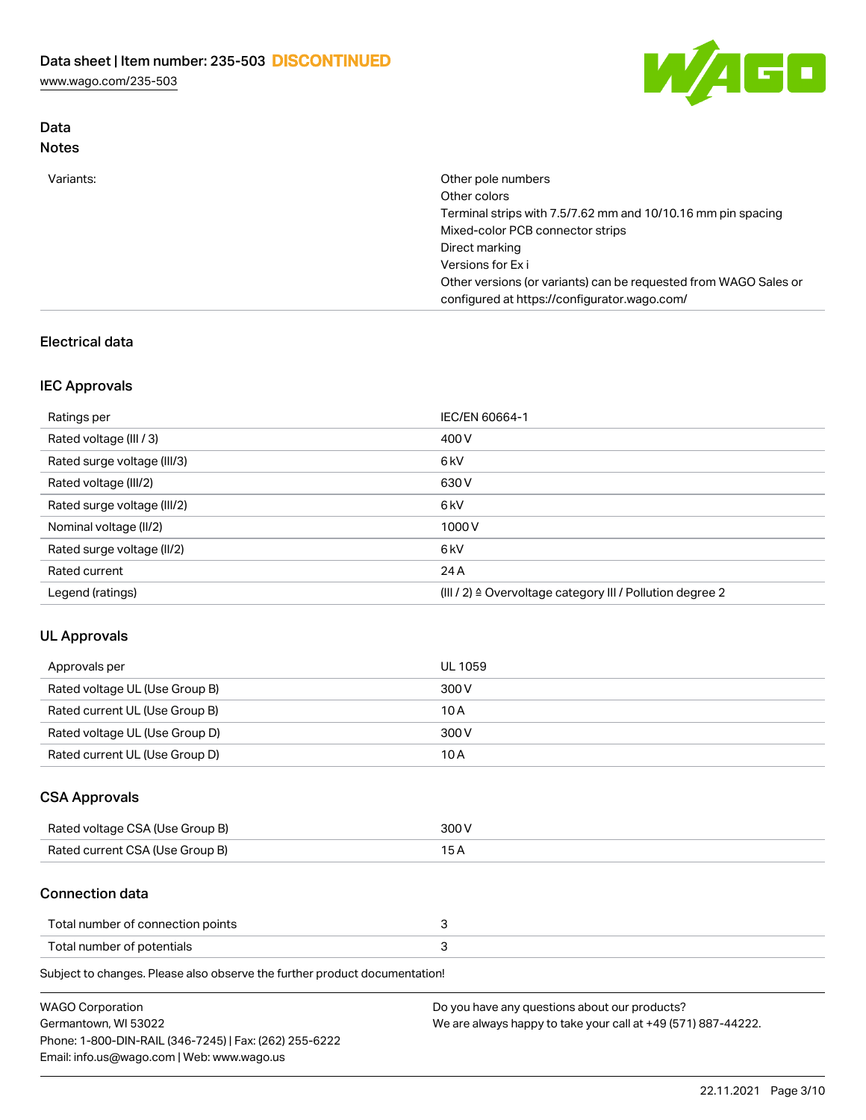Data



| <b>Notes</b> |                                                                                                                  |
|--------------|------------------------------------------------------------------------------------------------------------------|
| Variants:    | Other pole numbers                                                                                               |
|              | Other colors                                                                                                     |
|              | Terminal strips with 7.5/7.62 mm and 10/10.16 mm pin spacing                                                     |
|              | Mixed-color PCB connector strips                                                                                 |
|              | Direct marking                                                                                                   |
|              | Versions for Ex i                                                                                                |
|              | Other versions (or variants) can be requested from WAGO Sales or<br>configured at https://configurator.wago.com/ |

# Electrical data

## IEC Approvals

| Ratings per                 | IEC/EN 60664-1                                                        |
|-----------------------------|-----------------------------------------------------------------------|
| Rated voltage (III / 3)     | 400 V                                                                 |
| Rated surge voltage (III/3) | 6 <sub>kV</sub>                                                       |
| Rated voltage (III/2)       | 630 V                                                                 |
| Rated surge voltage (III/2) | 6 <sub>kV</sub>                                                       |
| Nominal voltage (II/2)      | 1000V                                                                 |
| Rated surge voltage (II/2)  | 6 <sub>kV</sub>                                                       |
| Rated current               | 24 A                                                                  |
| Legend (ratings)            | $(III / 2)$ $\triangle$ Overvoltage category III / Pollution degree 2 |

## UL Approvals

| Approvals per                  | UL 1059 |
|--------------------------------|---------|
| Rated voltage UL (Use Group B) | 300 V   |
| Rated current UL (Use Group B) | 10 A    |
| Rated voltage UL (Use Group D) | 300 V   |
| Rated current UL (Use Group D) | 10 A    |

## CSA Approvals

| Rated voltage CSA (Use Group B) | 300 V |
|---------------------------------|-------|
| Rated current CSA (Use Group B) |       |

#### Connection data

| Total number of connection points |  |
|-----------------------------------|--|
| Total number of potentials        |  |

Subject to changes. Please also observe the further product documentation!

| WAGO Corporation                                       | Do you have any questions about our products?                 |
|--------------------------------------------------------|---------------------------------------------------------------|
| Germantown, WI 53022                                   | We are always happy to take your call at +49 (571) 887-44222. |
| Phone: 1-800-DIN-RAIL (346-7245)   Fax: (262) 255-6222 |                                                               |
| Email: info.us@wago.com   Web: www.wago.us             |                                                               |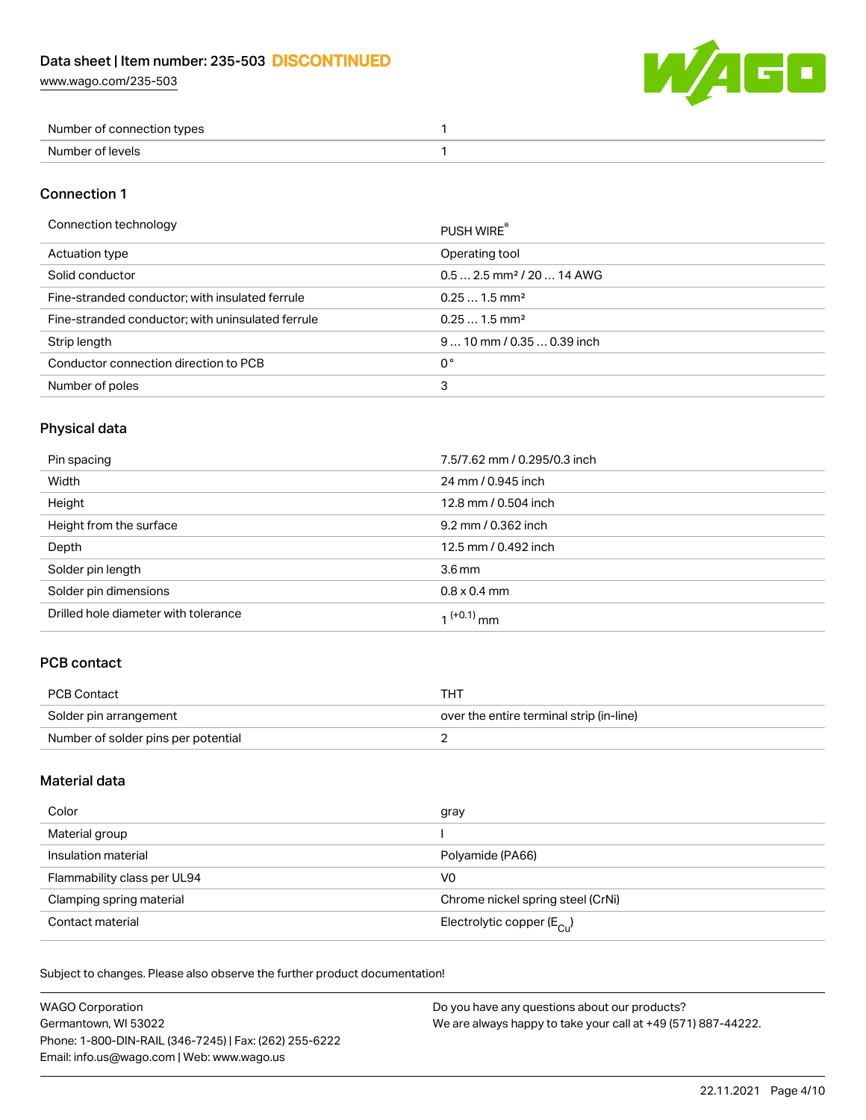

| Number of connection types |  |
|----------------------------|--|
| Number of levels           |  |

## Connection 1

| Connection technology                             | PUSH WIRE®                             |
|---------------------------------------------------|----------------------------------------|
| Actuation type                                    | Operating tool                         |
| Solid conductor                                   | $0.5$ 2.5 mm <sup>2</sup> / 20  14 AWG |
| Fine-stranded conductor; with insulated ferrule   | $0.251.5$ mm <sup>2</sup>              |
| Fine-stranded conductor; with uninsulated ferrule | $0.251.5$ mm <sup>2</sup>              |
| Strip length                                      | 9  10 mm / 0.35  0.39 inch             |
| Conductor connection direction to PCB             | 0°                                     |
| Number of poles                                   | 3                                      |
|                                                   |                                        |

## Physical data

| Pin spacing                          | 7.5/7.62 mm / 0.295/0.3 inch |
|--------------------------------------|------------------------------|
| Width                                | 24 mm / 0.945 inch           |
| Height                               | 12.8 mm / 0.504 inch         |
| Height from the surface              | 9.2 mm / 0.362 inch          |
| Depth                                | 12.5 mm / 0.492 inch         |
| Solder pin length                    | 3.6 <sub>mm</sub>            |
| Solder pin dimensions                | $0.8 \times 0.4$ mm          |
| Drilled hole diameter with tolerance | 1 <sup>(+0.1)</sup> mm       |

# PCB contact

| PCB Contact                         | THT                                      |
|-------------------------------------|------------------------------------------|
| Solder pin arrangement              | over the entire terminal strip (in-line) |
| Number of solder pins per potential |                                          |

## Material data

| Color                       | gray                                    |
|-----------------------------|-----------------------------------------|
| Material group              |                                         |
| Insulation material         | Polyamide (PA66)                        |
| Flammability class per UL94 | V0                                      |
| Clamping spring material    | Chrome nickel spring steel (CrNi)       |
| Contact material            | Electrolytic copper ( $E_{\text{Cu}}$ ) |

Subject to changes. Please also observe the further product documentation!

| <b>WAGO Corporation</b>                                | Do you have any questions about our products?                 |
|--------------------------------------------------------|---------------------------------------------------------------|
| Germantown, WI 53022                                   | We are always happy to take your call at +49 (571) 887-44222. |
| Phone: 1-800-DIN-RAIL (346-7245)   Fax: (262) 255-6222 |                                                               |
| Email: info.us@wago.com   Web: www.wago.us             |                                                               |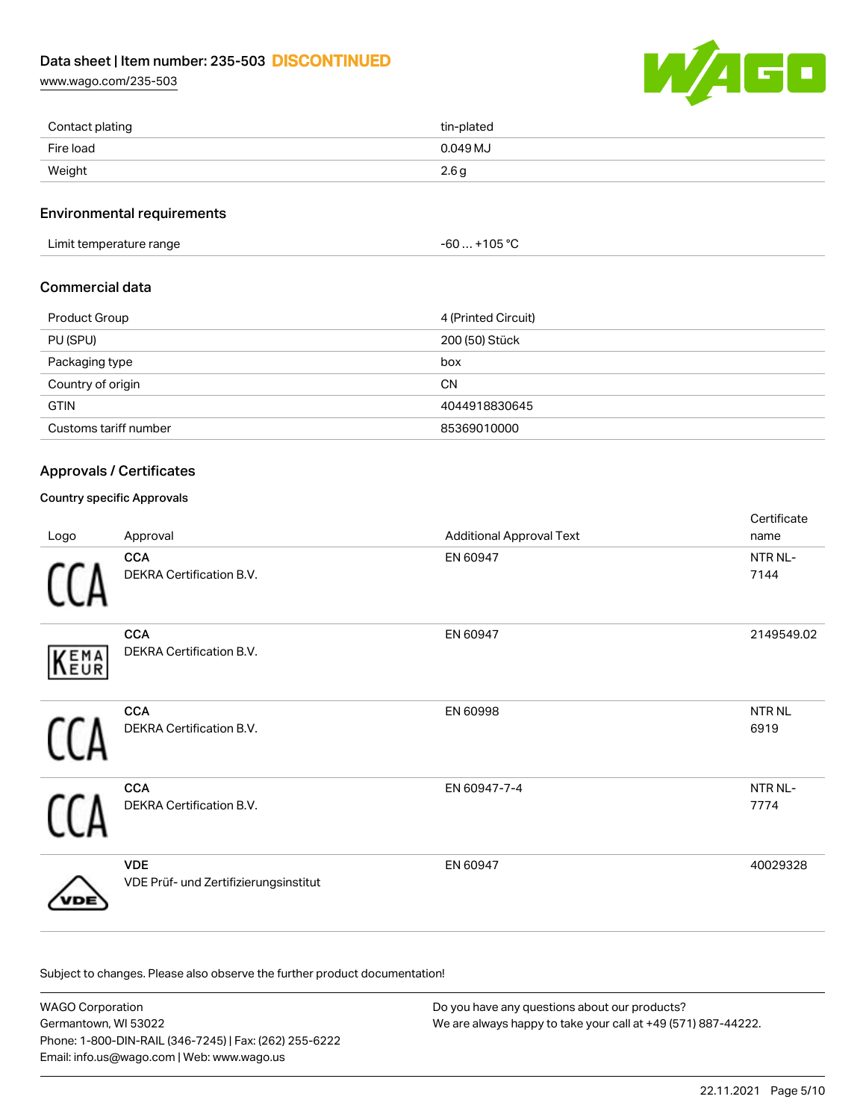[www.wago.com/235-503](http://www.wago.com/235-503)



| Contact plating | tin-plated |
|-----------------|------------|
| Fire load       | 0.049 MJ   |
| Weight          | 2.6g       |

#### Environmental requirements

Limit temperature range  $-60...+105$  °C

## Commercial data

| <b>Product Group</b>  | 4 (Printed Circuit) |
|-----------------------|---------------------|
| PU (SPU)              | 200 (50) Stück      |
| Packaging type        | box                 |
| Country of origin     | <b>CN</b>           |
| <b>GTIN</b>           | 4044918830645       |
| Customs tariff number | 85369010000         |

## Approvals / Certificates

## Country specific Approvals

| Logo | Approval                                            | <b>Additional Approval Text</b> | Certificate<br>name   |
|------|-----------------------------------------------------|---------------------------------|-----------------------|
|      | <b>CCA</b><br>DEKRA Certification B.V.              | EN 60947                        | NTR NL-<br>7144       |
| KEMA | <b>CCA</b><br>DEKRA Certification B.V.              | EN 60947                        | 2149549.02            |
|      | <b>CCA</b><br>DEKRA Certification B.V.              | EN 60998                        | <b>NTR NL</b><br>6919 |
|      | <b>CCA</b><br>DEKRA Certification B.V.              | EN 60947-7-4                    | NTR NL-<br>7774       |
|      | <b>VDE</b><br>VDE Prüf- und Zertifizierungsinstitut | EN 60947                        | 40029328              |

Subject to changes. Please also observe the further product documentation!

WAGO Corporation Germantown, WI 53022 Phone: 1-800-DIN-RAIL (346-7245) | Fax: (262) 255-6222 Email: info.us@wago.com | Web: www.wago.us Do you have any questions about our products? We are always happy to take your call at +49 (571) 887-44222.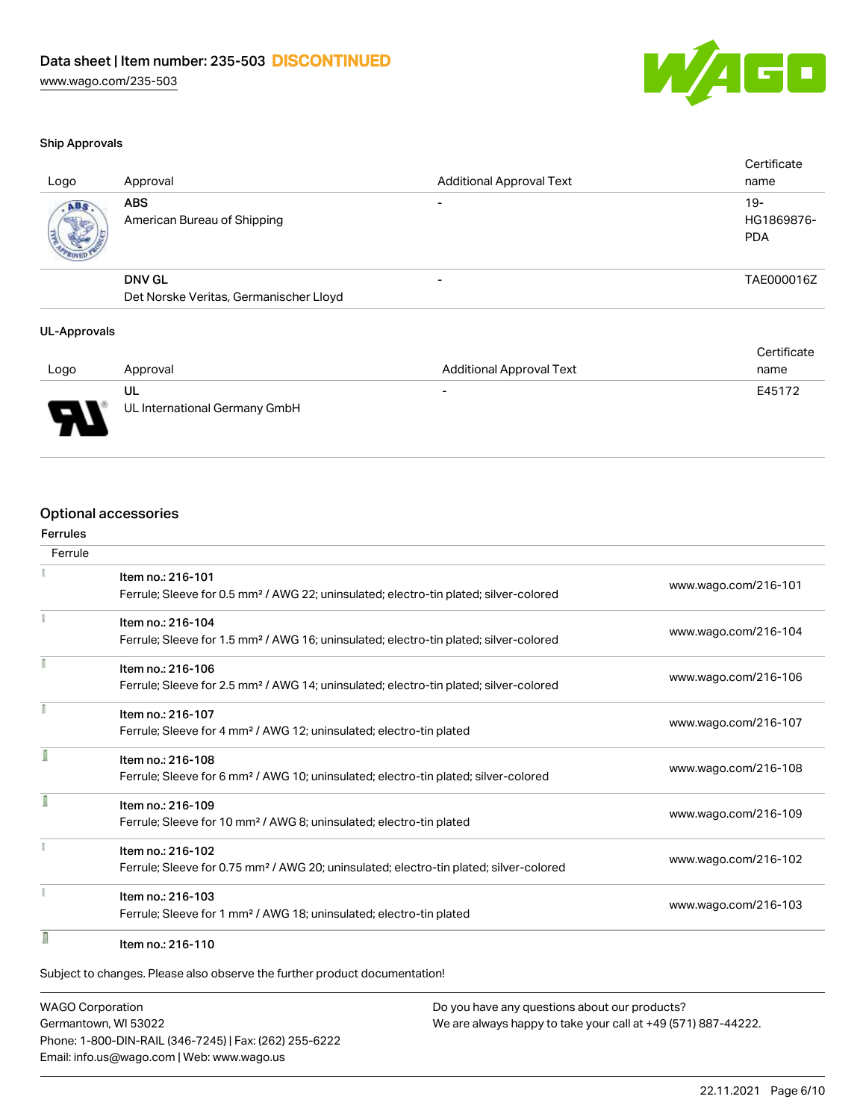

#### Ship Approvals

| Logo | Approval                                  | <b>Additional Approval Text</b> | Certificate<br>name                |
|------|-------------------------------------------|---------------------------------|------------------------------------|
| ABS. | <b>ABS</b><br>American Bureau of Shipping | $\overline{\phantom{0}}$        | $19 -$<br>HG1869876-<br><b>PDA</b> |
|      | <b>DNV GL</b>                             | $\overline{\phantom{a}}$        | TAE000016Z                         |
|      | Det Norske Veritas, Germanischer Lloyd    |                                 |                                    |
|      |                                           |                                 |                                    |

#### UL-Approvals

|        |                               |                                 | Certificate |
|--------|-------------------------------|---------------------------------|-------------|
| Logo   | Approval                      | <b>Additional Approval Text</b> | name        |
|        | UL                            | $\overline{\phantom{a}}$        | E45172      |
| $\Box$ | UL International Germany GmbH |                                 |             |

# Optional accessories

| Ferrules<br>Ferrule |                                                                                                                        |                      |
|---------------------|------------------------------------------------------------------------------------------------------------------------|----------------------|
|                     |                                                                                                                        |                      |
|                     | Item no.: 216-101<br>Ferrule; Sleeve for 0.5 mm <sup>2</sup> / AWG 22; uninsulated; electro-tin plated; silver-colored | www.wago.com/216-101 |
|                     | Item no.: 216-104                                                                                                      |                      |
|                     | Ferrule; Sleeve for 1.5 mm <sup>2</sup> / AWG 16; uninsulated; electro-tin plated; silver-colored                      | www.wago.com/216-104 |
|                     | Item no.: 216-106                                                                                                      |                      |
|                     | Ferrule; Sleeve for 2.5 mm <sup>2</sup> / AWG 14; uninsulated; electro-tin plated; silver-colored                      | www.wago.com/216-106 |
| f                   | Item no.: 216-107                                                                                                      |                      |
|                     | Ferrule; Sleeve for 4 mm <sup>2</sup> / AWG 12; uninsulated; electro-tin plated                                        | www.wago.com/216-107 |
|                     | Item no.: 216-108                                                                                                      |                      |
|                     | Ferrule; Sleeve for 6 mm <sup>2</sup> / AWG 10; uninsulated; electro-tin plated; silver-colored                        | www.wago.com/216-108 |
|                     | Item no.: 216-109                                                                                                      |                      |
|                     | Ferrule; Sleeve for 10 mm <sup>2</sup> / AWG 8; uninsulated; electro-tin plated                                        | www.wago.com/216-109 |
|                     | Item no.: 216-102                                                                                                      |                      |
|                     | Ferrule; Sleeve for 0.75 mm <sup>2</sup> / AWG 20; uninsulated; electro-tin plated; silver-colored                     | www.wago.com/216-102 |
|                     | Item no.: 216-103                                                                                                      |                      |
|                     | Ferrule; Sleeve for 1 mm <sup>2</sup> / AWG 18; uninsulated; electro-tin plated                                        | www.wago.com/216-103 |
| I                   | Item no.: 216-110                                                                                                      |                      |

WAGO Corporation Germantown, WI 53022 Phone: 1-800-DIN-RAIL (346-7245) | Fax: (262) 255-6222 Email: info.us@wago.com | Web: www.wago.us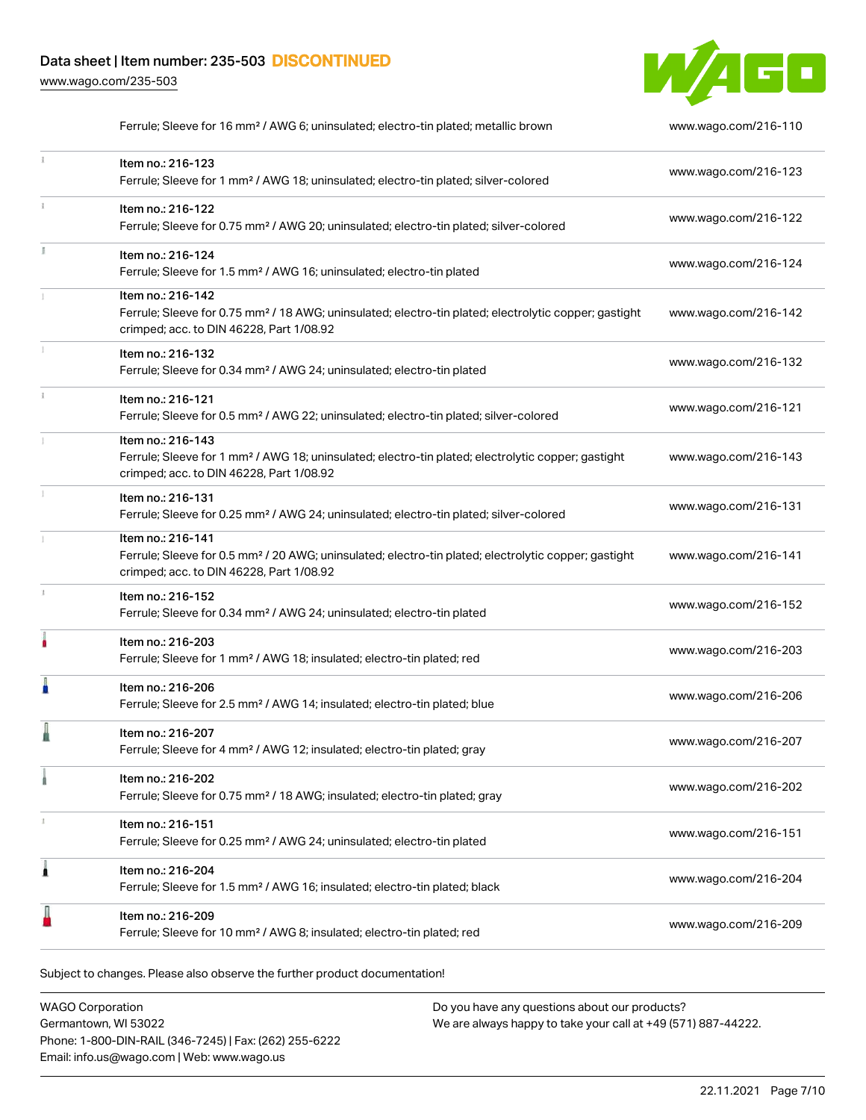[www.wago.com/235-503](http://www.wago.com/235-503)



|    | Ferrule; Sleeve for 16 mm <sup>2</sup> / AWG 6; uninsulated; electro-tin plated; metallic brown                                                                                    | www.wago.com/216-110 |
|----|------------------------------------------------------------------------------------------------------------------------------------------------------------------------------------|----------------------|
| i. | Item no.: 216-123<br>Ferrule; Sleeve for 1 mm <sup>2</sup> / AWG 18; uninsulated; electro-tin plated; silver-colored                                                               | www.wago.com/216-123 |
|    | Item no.: 216-122<br>Ferrule; Sleeve for 0.75 mm <sup>2</sup> / AWG 20; uninsulated; electro-tin plated; silver-colored                                                            | www.wago.com/216-122 |
|    | Item no.: 216-124<br>Ferrule; Sleeve for 1.5 mm <sup>2</sup> / AWG 16; uninsulated; electro-tin plated                                                                             | www.wago.com/216-124 |
|    | Item no.: 216-142<br>Ferrule; Sleeve for 0.75 mm <sup>2</sup> / 18 AWG; uninsulated; electro-tin plated; electrolytic copper; gastight<br>crimped; acc. to DIN 46228, Part 1/08.92 | www.wago.com/216-142 |
|    | Item no.: 216-132<br>Ferrule; Sleeve for 0.34 mm <sup>2</sup> / AWG 24; uninsulated; electro-tin plated                                                                            | www.wago.com/216-132 |
|    | Item no.: 216-121<br>Ferrule; Sleeve for 0.5 mm <sup>2</sup> / AWG 22; uninsulated; electro-tin plated; silver-colored                                                             | www.wago.com/216-121 |
|    | Item no.: 216-143<br>Ferrule; Sleeve for 1 mm <sup>2</sup> / AWG 18; uninsulated; electro-tin plated; electrolytic copper; gastight<br>crimped; acc. to DIN 46228, Part 1/08.92    | www.wago.com/216-143 |
|    | Item no.: 216-131<br>Ferrule; Sleeve for 0.25 mm <sup>2</sup> / AWG 24; uninsulated; electro-tin plated; silver-colored                                                            | www.wago.com/216-131 |
|    | Item no.: 216-141<br>Ferrule; Sleeve for 0.5 mm <sup>2</sup> / 20 AWG; uninsulated; electro-tin plated; electrolytic copper; gastight<br>crimped; acc. to DIN 46228, Part 1/08.92  | www.wago.com/216-141 |
| J. | Item no.: 216-152<br>Ferrule; Sleeve for 0.34 mm <sup>2</sup> / AWG 24; uninsulated; electro-tin plated                                                                            | www.wago.com/216-152 |
| ۸  | Item no.: 216-203<br>Ferrule; Sleeve for 1 mm <sup>2</sup> / AWG 18; insulated; electro-tin plated; red                                                                            | www.wago.com/216-203 |
|    | Item no.: 216-206<br>Ferrule; Sleeve for 2.5 mm <sup>2</sup> / AWG 14; insulated; electro-tin plated; blue                                                                         | www.wago.com/216-206 |
|    | Item no.: 216-207<br>Ferrule; Sleeve for 4 mm <sup>2</sup> / AWG 12; insulated; electro-tin plated; gray                                                                           | www.wago.com/216-207 |
|    | Item no.: 216-202<br>Ferrule; Sleeve for 0.75 mm <sup>2</sup> / 18 AWG; insulated; electro-tin plated; gray                                                                        | www.wago.com/216-202 |
|    | Item no.: 216-151<br>Ferrule; Sleeve for 0.25 mm <sup>2</sup> / AWG 24; uninsulated; electro-tin plated                                                                            | www.wago.com/216-151 |
| 1  | Item no.: 216-204<br>Ferrule; Sleeve for 1.5 mm <sup>2</sup> / AWG 16; insulated; electro-tin plated; black                                                                        | www.wago.com/216-204 |
|    | Item no.: 216-209<br>Ferrule; Sleeve for 10 mm <sup>2</sup> / AWG 8; insulated; electro-tin plated; red                                                                            | www.wago.com/216-209 |
|    |                                                                                                                                                                                    |                      |

Subject to changes. Please also observe the further product documentation!

WAGO Corporation Germantown, WI 53022 Phone: 1-800-DIN-RAIL (346-7245) | Fax: (262) 255-6222 Email: info.us@wago.com | Web: www.wago.us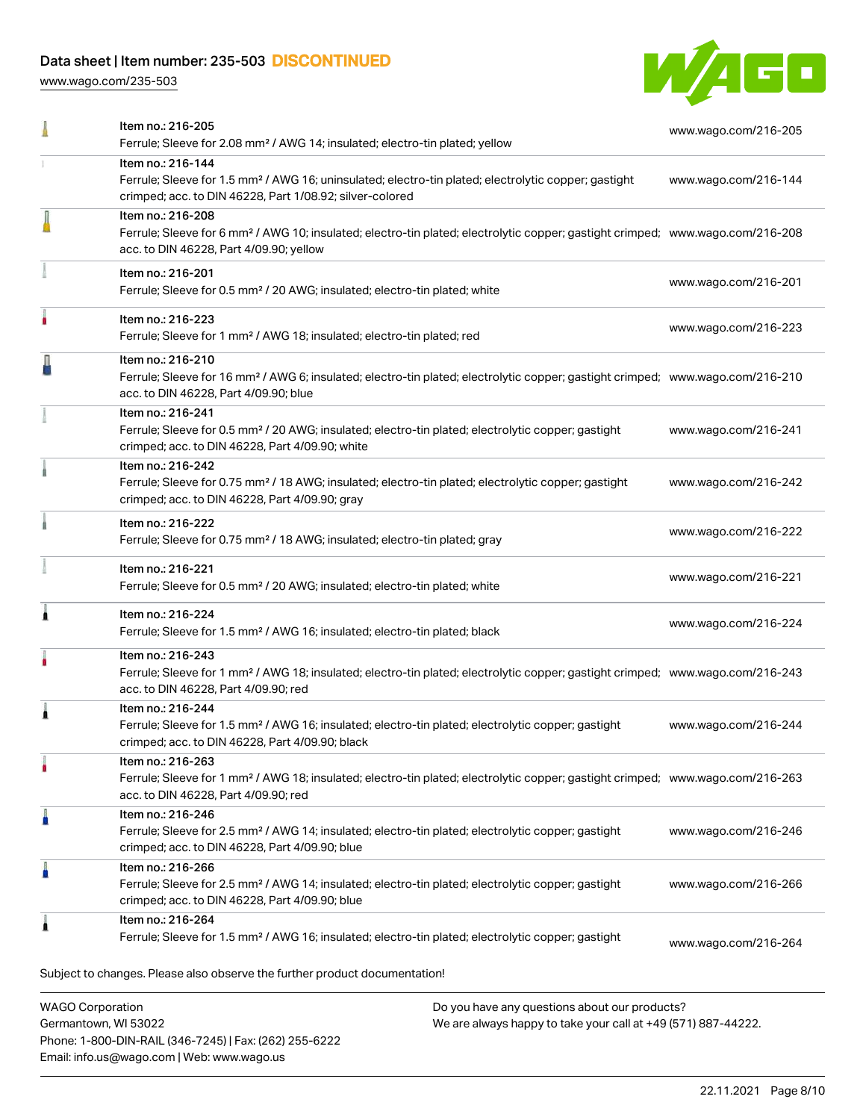Phone: 1-800-DIN-RAIL (346-7245) | Fax: (262) 255-6222

Email: info.us@wago.com | Web: www.wago.us

[www.wago.com/235-503](http://www.wago.com/235-503)



|                         | Item no.: 216-205<br>Ferrule; Sleeve for 2.08 mm <sup>2</sup> / AWG 14; insulated; electro-tin plated; yellow                                                                                              |                                                                                                                | www.wago.com/216-205 |
|-------------------------|------------------------------------------------------------------------------------------------------------------------------------------------------------------------------------------------------------|----------------------------------------------------------------------------------------------------------------|----------------------|
|                         | Item no.: 216-144<br>Ferrule; Sleeve for 1.5 mm <sup>2</sup> / AWG 16; uninsulated; electro-tin plated; electrolytic copper; gastight<br>crimped; acc. to DIN 46228, Part 1/08.92; silver-colored          |                                                                                                                | www.wago.com/216-144 |
|                         | Item no.: 216-208<br>Ferrule; Sleeve for 6 mm <sup>2</sup> / AWG 10; insulated; electro-tin plated; electrolytic copper; gastight crimped; www.wago.com/216-208<br>acc. to DIN 46228, Part 4/09.90; yellow |                                                                                                                |                      |
|                         | Item no.: 216-201<br>Ferrule; Sleeve for 0.5 mm <sup>2</sup> / 20 AWG; insulated; electro-tin plated; white                                                                                                |                                                                                                                | www.wago.com/216-201 |
|                         | Item no.: 216-223<br>Ferrule; Sleeve for 1 mm <sup>2</sup> / AWG 18; insulated; electro-tin plated; red                                                                                                    |                                                                                                                | www.wago.com/216-223 |
|                         | Item no.: 216-210<br>Ferrule; Sleeve for 16 mm <sup>2</sup> / AWG 6; insulated; electro-tin plated; electrolytic copper; gastight crimped; www.wago.com/216-210<br>acc. to DIN 46228, Part 4/09.90; blue   |                                                                                                                |                      |
|                         | Item no.: 216-241<br>Ferrule; Sleeve for 0.5 mm <sup>2</sup> / 20 AWG; insulated; electro-tin plated; electrolytic copper; gastight<br>crimped; acc. to DIN 46228, Part 4/09.90; white                     |                                                                                                                | www.wago.com/216-241 |
|                         | Item no.: 216-242<br>Ferrule; Sleeve for 0.75 mm <sup>2</sup> / 18 AWG; insulated; electro-tin plated; electrolytic copper; gastight<br>crimped; acc. to DIN 46228, Part 4/09.90; gray                     |                                                                                                                | www.wago.com/216-242 |
|                         | Item no.: 216-222<br>Ferrule; Sleeve for 0.75 mm <sup>2</sup> / 18 AWG; insulated; electro-tin plated; gray                                                                                                |                                                                                                                | www.wago.com/216-222 |
|                         | Item no.: 216-221<br>Ferrule; Sleeve for 0.5 mm <sup>2</sup> / 20 AWG; insulated; electro-tin plated; white                                                                                                |                                                                                                                | www.wago.com/216-221 |
|                         | Item no.: 216-224<br>Ferrule; Sleeve for 1.5 mm <sup>2</sup> / AWG 16; insulated; electro-tin plated; black                                                                                                |                                                                                                                | www.wago.com/216-224 |
|                         | Item no.: 216-243<br>Ferrule; Sleeve for 1 mm <sup>2</sup> / AWG 18; insulated; electro-tin plated; electrolytic copper; gastight crimped; www.wago.com/216-243<br>acc. to DIN 46228, Part 4/09.90; red    |                                                                                                                |                      |
|                         | Item no.: 216-244<br>Ferrule; Sleeve for 1.5 mm <sup>2</sup> / AWG 16; insulated; electro-tin plated; electrolytic copper; gastight<br>crimped; acc. to DIN 46228, Part 4/09.90; black                     |                                                                                                                | www.wago.com/216-244 |
|                         | Item no.: 216-263<br>Ferrule; Sleeve for 1 mm <sup>2</sup> / AWG 18; insulated; electro-tin plated; electrolytic copper; gastight crimped; www.wago.com/216-263<br>acc. to DIN 46228, Part 4/09.90; red    |                                                                                                                |                      |
|                         | Item no.: 216-246<br>Ferrule; Sleeve for 2.5 mm <sup>2</sup> / AWG 14; insulated; electro-tin plated; electrolytic copper; gastight<br>crimped; acc. to DIN 46228, Part 4/09.90; blue                      |                                                                                                                | www.wago.com/216-246 |
|                         | Item no.: 216-266<br>Ferrule; Sleeve for 2.5 mm <sup>2</sup> / AWG 14; insulated; electro-tin plated; electrolytic copper; gastight<br>crimped; acc. to DIN 46228, Part 4/09.90; blue                      |                                                                                                                | www.wago.com/216-266 |
|                         | Item no.: 216-264<br>Ferrule; Sleeve for 1.5 mm <sup>2</sup> / AWG 16; insulated; electro-tin plated; electrolytic copper; gastight                                                                        |                                                                                                                | www.wago.com/216-264 |
|                         | Subject to changes. Please also observe the further product documentation!                                                                                                                                 |                                                                                                                |                      |
| <b>WAGO Corporation</b> | Germantown, WI 53022                                                                                                                                                                                       | Do you have any questions about our products?<br>We are always happy to take your call at +49 (571) 887-44222. |                      |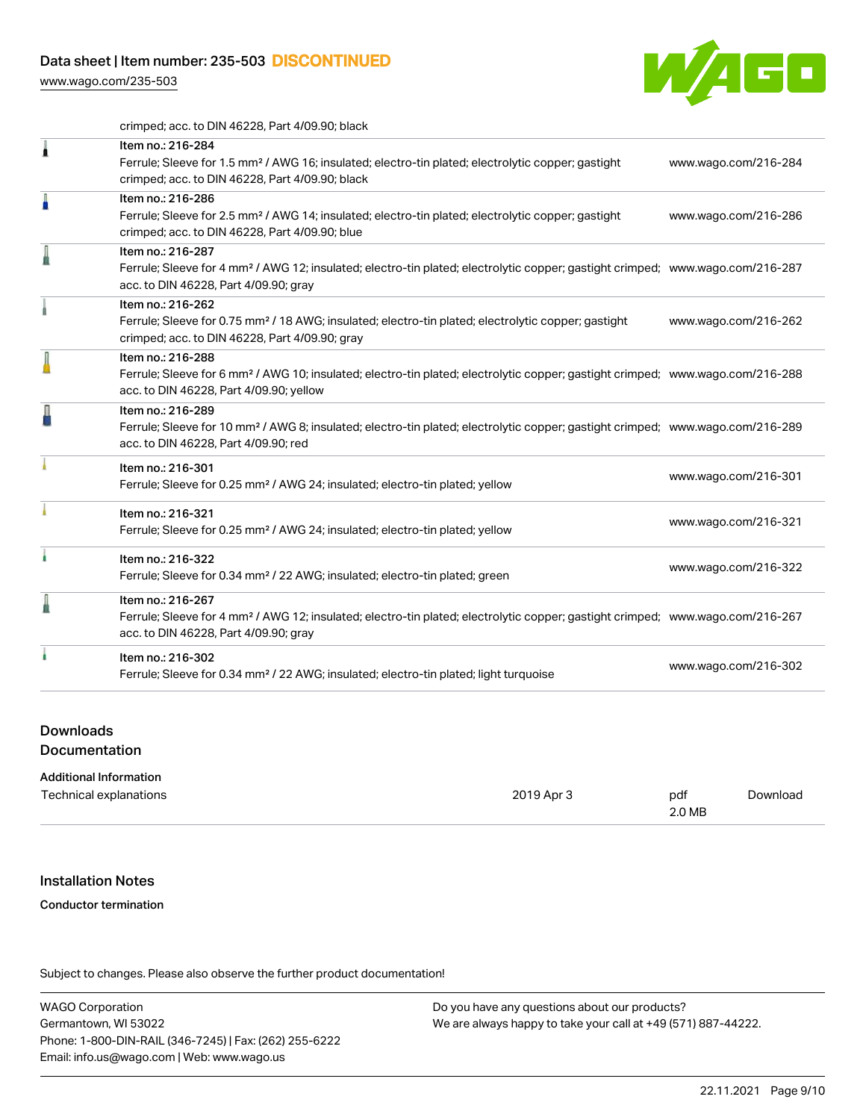[www.wago.com/235-503](http://www.wago.com/235-503)



crimped; acc. to DIN 46228, Part 4/09.90; black

|    | Item no.: 216-284<br>Ferrule; Sleeve for 1.5 mm <sup>2</sup> / AWG 16; insulated; electro-tin plated; electrolytic copper; gastight<br>crimped; acc. to DIN 46228, Part 4/09.90; black                     | www.wago.com/216-284 |
|----|------------------------------------------------------------------------------------------------------------------------------------------------------------------------------------------------------------|----------------------|
| A  | Item no.: 216-286<br>Ferrule; Sleeve for 2.5 mm <sup>2</sup> / AWG 14; insulated; electro-tin plated; electrolytic copper; gastight<br>crimped; acc. to DIN 46228, Part 4/09.90; blue                      | www.wago.com/216-286 |
| l  | Item no.: 216-287<br>Ferrule; Sleeve for 4 mm <sup>2</sup> / AWG 12; insulated; electro-tin plated; electrolytic copper; gastight crimped; www.wago.com/216-287<br>acc. to DIN 46228, Part 4/09.90; gray   |                      |
|    | Item no.: 216-262<br>Ferrule; Sleeve for 0.75 mm <sup>2</sup> / 18 AWG; insulated; electro-tin plated; electrolytic copper; gastight<br>crimped; acc. to DIN 46228, Part 4/09.90; gray                     | www.wago.com/216-262 |
|    | Item no.: 216-288<br>Ferrule; Sleeve for 6 mm <sup>2</sup> / AWG 10; insulated; electro-tin plated; electrolytic copper; gastight crimped; www.wago.com/216-288<br>acc. to DIN 46228, Part 4/09.90; yellow |                      |
| ł  | Item no.: 216-289<br>Ferrule; Sleeve for 10 mm <sup>2</sup> / AWG 8; insulated; electro-tin plated; electrolytic copper; gastight crimped; www.wago.com/216-289<br>acc. to DIN 46228, Part 4/09.90; red    |                      |
|    | Item no.: 216-301<br>Ferrule; Sleeve for 0.25 mm <sup>2</sup> / AWG 24; insulated; electro-tin plated; yellow                                                                                              | www.wago.com/216-301 |
|    | Item no.: 216-321<br>Ferrule; Sleeve for 0.25 mm <sup>2</sup> / AWG 24; insulated; electro-tin plated; yellow                                                                                              | www.wago.com/216-321 |
| ł. | Item no.: 216-322<br>Ferrule; Sleeve for 0.34 mm <sup>2</sup> / 22 AWG; insulated; electro-tin plated; green                                                                                               | www.wago.com/216-322 |
| I  | Item no.: 216-267<br>Ferrule; Sleeve for 4 mm <sup>2</sup> / AWG 12; insulated; electro-tin plated; electrolytic copper; gastight crimped; www.wago.com/216-267<br>acc. to DIN 46228, Part 4/09.90; gray   |                      |
|    | Item no.: 216-302<br>Ferrule; Sleeve for 0.34 mm <sup>2</sup> / 22 AWG; insulated; electro-tin plated; light turquoise                                                                                     | www.wago.com/216-302 |
|    |                                                                                                                                                                                                            |                      |

#### Downloads

**Documentation** 

#### Additional Information

| Technical explanations | 2019 Apr 3 | pdf<br>2.0 MB | Download |
|------------------------|------------|---------------|----------|
|------------------------|------------|---------------|----------|

#### Installation Notes

#### Conductor termination

Subject to changes. Please also observe the further product documentation!

WAGO Corporation Germantown, WI 53022 Phone: 1-800-DIN-RAIL (346-7245) | Fax: (262) 255-6222 Email: info.us@wago.com | Web: www.wago.us